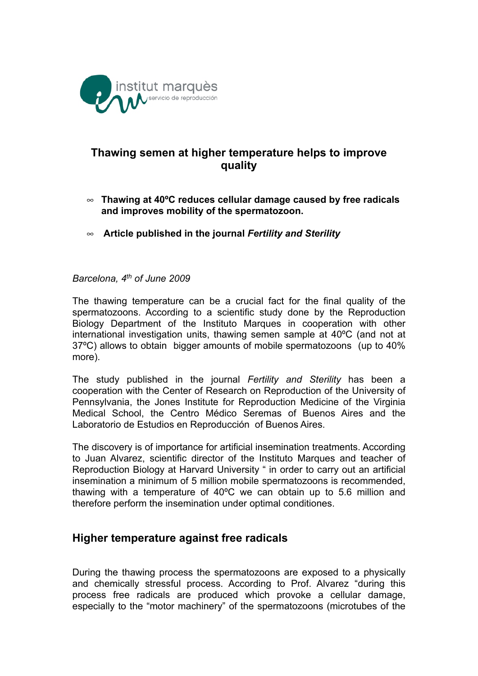

# **Thawing semen at higher temperature helps to improve quality**

- **Thawing at 40ºC reduces cellular damage caused by free radicals and improves mobility of the spermatozoon.**
- • **Article published in the journal** *Fertility and Sterility*

#### *Barcelona, 4th of June 2009*

The thawing temperature can be a crucial fact for the final quality of the spermatozoons. According to a scientific study done by the Reproduction Biology Department of the Instituto Marques in cooperation with other international investigation units, thawing semen sample at 40ºC (and not at 37ºC) allows to obtain bigger amounts of mobile spermatozoons (up to 40% more).

The study published in the journal *Fertility and Sterility* has been a cooperation with the Center of Research on Reproduction of the University of Pennsylvania, the Jones Institute for Reproduction Medicine of the Virginia Medical School, the Centro Médico Seremas of Buenos Aires and the Laboratorio de Estudios en Reproducción of Buenos Aires.

The discovery is of importance for artificial insemination treatments. According to Juan Alvarez, scientific director of the Instituto Marques and teacher of Reproduction Biology at Harvard University " in order to carry out an artificial insemination a minimum of 5 million mobile spermatozoons is recommended, thawing with a temperature of 40ºC we can obtain up to 5.6 million and therefore perform the insemination under optimal conditiones.

## **Higher temperature against free radicals**

During the thawing process the spermatozoons are exposed to a physically and chemically stressful process. According to Prof. Alvarez "during this process free radicals are produced which provoke a cellular damage, especially to the "motor machinery" of the spermatozoons (microtubes of the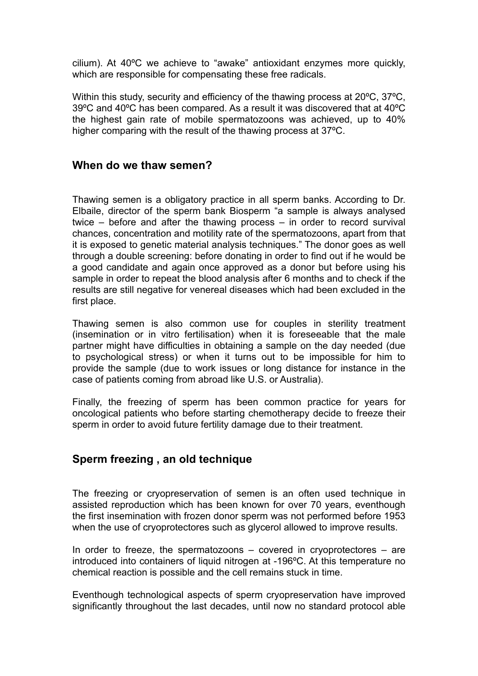cilium). At 40ºC we achieve to "awake" antioxidant enzymes more quickly, which are responsible for compensating these free radicals.

Within this study, security and efficiency of the thawing process at 20<sup>o</sup>C, 37<sup>o</sup>C, 39ºC and 40ºC has been compared. As a result it was discovered that at 40ºC the highest gain rate of mobile spermatozoons was achieved, up to 40% higher comparing with the result of the thawing process at 37ºC.

#### **When do we thaw semen?**

Thawing semen is a obligatory practice in all sperm banks. According to Dr. Elbaile, director of the sperm bank Biosperm "a sample is always analysed twice – before and after the thawing process – in order to record survival chances, concentration and motility rate of the spermatozoons, apart from that it is exposed to genetic material analysis techniques." The donor goes as well through a double screening: before donating in order to find out if he would be a good candidate and again once approved as a donor but before using his sample in order to repeat the blood analysis after 6 months and to check if the results are still negative for venereal diseases which had been excluded in the first place.

Thawing semen is also common use for couples in sterility treatment (insemination or in vitro fertilisation) when it is foreseeable that the male partner might have difficulties in obtaining a sample on the day needed (due to psychological stress) or when it turns out to be impossible for him to provide the sample (due to work issues or long distance for instance in the case of patients coming from abroad like U.S. or Australia).

Finally, the freezing of sperm has been common practice for years for oncological patients who before starting chemotherapy decide to freeze their sperm in order to avoid future fertility damage due to their treatment.

## **Sperm freezing , an old technique**

The freezing or cryopreservation of semen is an often used technique in assisted reproduction which has been known for over 70 years, eventhough the first insemination with frozen donor sperm was not performed before 1953 when the use of cryoprotectores such as glycerol allowed to improve results.

In order to freeze, the spermatozoons  $-$  covered in cryoprotectores  $-$  are introduced into containers of liquid nitrogen at -196ºC. At this temperature no chemical reaction is possible and the cell remains stuck in time.

Eventhough technological aspects of sperm cryopreservation have improved significantly throughout the last decades, until now no standard protocol able